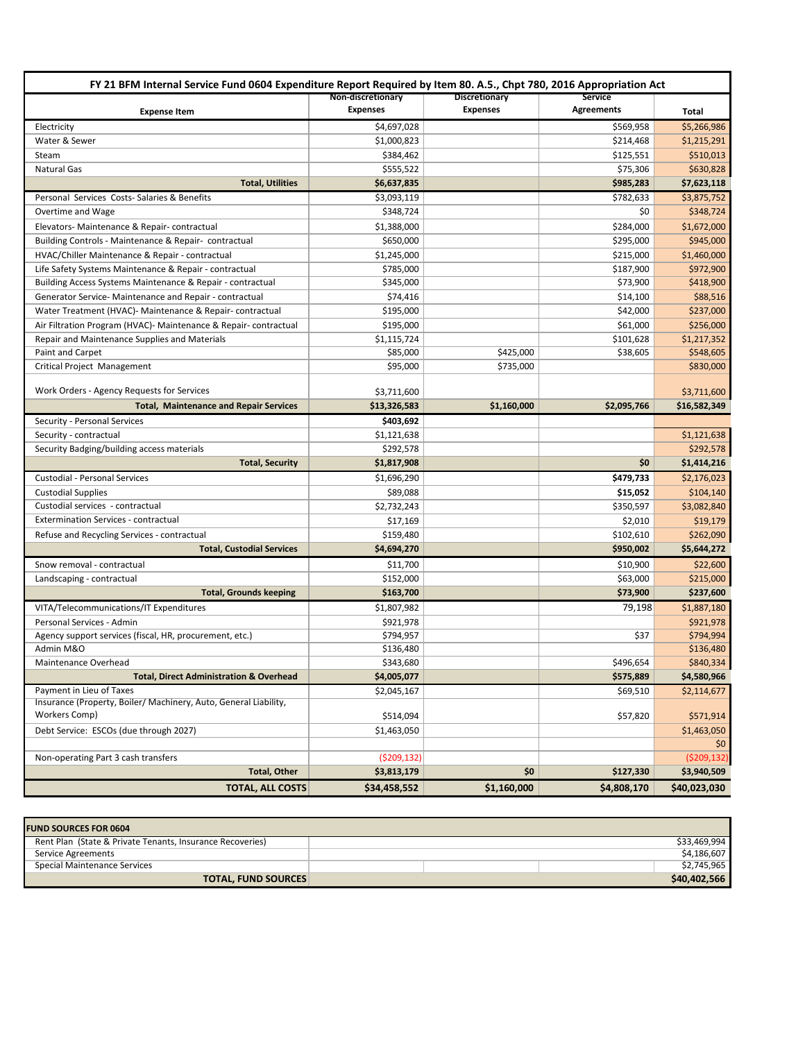| FY 21 BFM Internal Service Fund 0604 Expenditure Report Required by Item 80. A.5., Chpt 780, 2016 Appropriation Act |                                      |                                  |                       |                          |  |  |  |
|---------------------------------------------------------------------------------------------------------------------|--------------------------------------|----------------------------------|-----------------------|--------------------------|--|--|--|
| <b>Expense Item</b>                                                                                                 | Non-discretionary<br><b>Expenses</b> | Discretionary<br><b>Expenses</b> | Service<br>Agreements | Total                    |  |  |  |
| Electricity                                                                                                         | \$4,697,028                          |                                  | \$569,958             | \$5,266,986              |  |  |  |
| Water & Sewer                                                                                                       | \$1,000,823                          |                                  | \$214,468             | \$1,215,291              |  |  |  |
| Steam                                                                                                               | \$384,462                            |                                  | \$125,551             | \$510,013                |  |  |  |
| <b>Natural Gas</b>                                                                                                  | \$555,522                            |                                  | \$75,306              | \$630,828                |  |  |  |
| <b>Total, Utilities</b>                                                                                             | \$6,637,835                          |                                  | \$985,283             | \$7,623,118              |  |  |  |
| Personal Services Costs-Salaries & Benefits                                                                         | \$3,093,119                          |                                  | \$782,633             | \$3,875,752              |  |  |  |
| Overtime and Wage                                                                                                   | \$348,724                            |                                  | \$0                   | \$348,724                |  |  |  |
| Elevators-Maintenance & Repair-contractual                                                                          | \$1,388,000                          |                                  | \$284,000             | \$1,672,000              |  |  |  |
| Building Controls - Maintenance & Repair- contractual                                                               | \$650,000                            |                                  | \$295,000             | \$945,000                |  |  |  |
| HVAC/Chiller Maintenance & Repair - contractual                                                                     | \$1,245,000                          |                                  | \$215,000             | \$1,460,000              |  |  |  |
| Life Safety Systems Maintenance & Repair - contractual                                                              | \$785,000                            |                                  | \$187,900             | \$972,900                |  |  |  |
| Building Access Systems Maintenance & Repair - contractual                                                          | \$345,000                            |                                  | \$73,900              | \$418,900                |  |  |  |
| Generator Service- Maintenance and Repair - contractual                                                             | \$74,416                             |                                  | \$14,100              | \$88,516                 |  |  |  |
| Water Treatment (HVAC)- Maintenance & Repair-contractual                                                            | \$195,000                            |                                  | \$42,000              | \$237,000                |  |  |  |
| Air Filtration Program (HVAC) - Maintenance & Repair-contractual                                                    | \$195,000                            |                                  | \$61,000              | \$256,000                |  |  |  |
| Repair and Maintenance Supplies and Materials                                                                       | \$1,115,724                          |                                  | \$101,628             | \$1,217,352              |  |  |  |
| Paint and Carpet                                                                                                    | \$85,000                             | \$425,000                        | \$38,605              | \$548,605                |  |  |  |
| Critical Project Management                                                                                         | \$95,000                             | \$735,000                        |                       | \$830,000                |  |  |  |
| Work Orders - Agency Requests for Services                                                                          |                                      |                                  |                       |                          |  |  |  |
|                                                                                                                     | \$3,711,600                          |                                  |                       | \$3,711,600              |  |  |  |
| <b>Total, Maintenance and Repair Services</b>                                                                       | \$13,326,583                         | \$1,160,000                      | \$2,095,766           | \$16,582,349             |  |  |  |
| Security - Personal Services                                                                                        | \$403,692                            |                                  |                       |                          |  |  |  |
| Security - contractual                                                                                              | \$1,121,638                          |                                  |                       | \$1,121,638              |  |  |  |
| Security Badging/building access materials<br><b>Total, Security</b>                                                | \$292,578<br>\$1,817,908             |                                  | \$0                   | \$292,578<br>\$1,414,216 |  |  |  |
|                                                                                                                     |                                      |                                  | \$479,733             |                          |  |  |  |
| Custodial - Personal Services                                                                                       | \$1,696,290                          |                                  | \$15,052              | \$2,176,023<br>\$104,140 |  |  |  |
| <b>Custodial Supplies</b><br>Custodial services - contractual                                                       | \$89,088<br>\$2,732,243              |                                  | \$350,597             | \$3,082,840              |  |  |  |
| <b>Extermination Services - contractual</b>                                                                         | \$17,169                             |                                  | \$2,010               | \$19,179                 |  |  |  |
|                                                                                                                     | \$159,480                            |                                  | \$102,610             | \$262,090                |  |  |  |
| Refuse and Recycling Services - contractual<br><b>Total, Custodial Services</b>                                     | \$4,694,270                          |                                  | \$950,002             | \$5,644,272              |  |  |  |
|                                                                                                                     |                                      |                                  |                       |                          |  |  |  |
| Snow removal - contractual                                                                                          | \$11,700                             |                                  | \$10,900              | \$22,600                 |  |  |  |
| Landscaping - contractual                                                                                           | \$152,000                            |                                  | \$63,000              | \$215,000                |  |  |  |
| <b>Total, Grounds keeping</b>                                                                                       | \$163,700                            |                                  | \$73,900              | \$237,600                |  |  |  |
| VITA/Telecommunications/IT Expenditures                                                                             | \$1,807,982                          |                                  | 79.198                | \$1,887,180              |  |  |  |
| Personal Services - Admin                                                                                           | \$921,978                            |                                  |                       | \$921,978                |  |  |  |
| Agency support services (fiscal, HR, procurement, etc.)<br>Admin M&O                                                | \$794,957<br>\$136,480               |                                  | \$37                  | \$794,994<br>\$136,480   |  |  |  |
| Maintenance Overhead                                                                                                | \$343,680                            |                                  | \$496,654             | \$840,334                |  |  |  |
| <b>Total, Direct Administration &amp; Overhead</b>                                                                  | \$4,005,077                          |                                  | \$575,889             | \$4,580,966              |  |  |  |
| Payment in Lieu of Taxes                                                                                            |                                      |                                  |                       |                          |  |  |  |
| Insurance (Property, Boiler/ Machinery, Auto, General Liability,                                                    | \$2,045,167                          |                                  | \$69,510              | \$2,114,677              |  |  |  |
| Workers Comp)                                                                                                       | \$514,094                            |                                  | \$57,820              | \$571,914                |  |  |  |
| Debt Service: ESCOs (due through 2027)                                                                              | \$1,463,050                          |                                  |                       | \$1,463,050              |  |  |  |
|                                                                                                                     |                                      |                                  |                       | \$0                      |  |  |  |
| Non-operating Part 3 cash transfers                                                                                 | (5209, 132)                          |                                  |                       | ( \$209, 132)            |  |  |  |
| <b>Total, Other</b>                                                                                                 | \$3,813,179                          | \$0                              | \$127,330             | \$3,940,509              |  |  |  |
| <b>TOTAL, ALL COSTS</b>                                                                                             | \$34,458,552                         | \$1,160,000                      | \$4,808,170           | \$40,023,030             |  |  |  |

| <b>FUND SOURCES FOR 0604</b>                              |              |
|-----------------------------------------------------------|--------------|
| Rent Plan (State & Private Tenants, Insurance Recoveries) | \$33.469.994 |
| Service Agreements                                        | \$4.186.607  |
| Special Maintenance Services                              | \$2,745,965  |
| <b>TOTAL, FUND SOURCES</b>                                | \$40,402,566 |